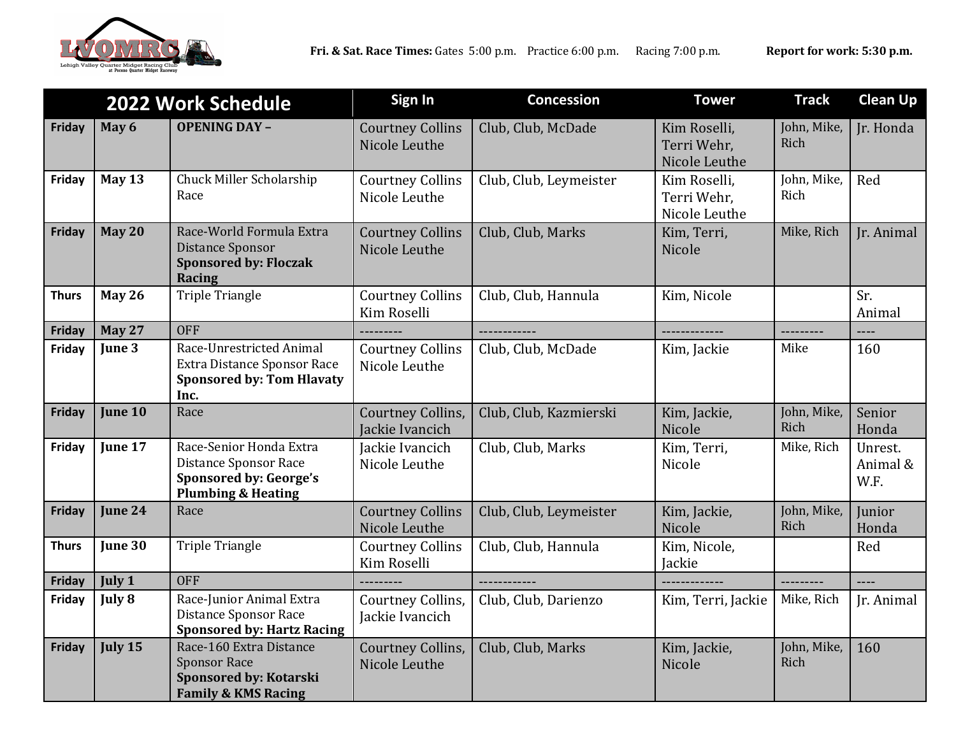

| 2022 Work Schedule |               |                                                                                                                           | Sign In                                     | <b>Concession</b>      | <b>Tower</b>                                 | <b>Track</b>        | <b>Clean Up</b>             |
|--------------------|---------------|---------------------------------------------------------------------------------------------------------------------------|---------------------------------------------|------------------------|----------------------------------------------|---------------------|-----------------------------|
| Friday             | May 6         | <b>OPENING DAY -</b>                                                                                                      | <b>Courtney Collins</b><br>Nicole Leuthe    | Club, Club, McDade     | Kim Roselli,<br>Terri Wehr,<br>Nicole Leuthe | John, Mike,<br>Rich | Jr. Honda                   |
| Friday             | May 13        | Chuck Miller Scholarship<br>Race                                                                                          | <b>Courtney Collins</b><br>Nicole Leuthe    | Club, Club, Leymeister | Kim Roselli,<br>Terri Wehr,<br>Nicole Leuthe | John, Mike,<br>Rich | Red                         |
| Friday             | <b>May 20</b> | Race-World Formula Extra<br>Distance Sponsor<br><b>Sponsored by: Floczak</b><br><b>Racing</b>                             | <b>Courtney Collins</b><br>Nicole Leuthe    | Club, Club, Marks      | Kim, Terri,<br>Nicole                        | Mike, Rich          | Ir. Animal                  |
| <b>Thurs</b>       | <b>May 26</b> | <b>Triple Triangle</b>                                                                                                    | <b>Courtney Collins</b><br>Kim Roselli      | Club, Club, Hannula    | Kim, Nicole                                  |                     | Sr.<br>Animal               |
| Friday             | <b>May 27</b> | <b>OFF</b>                                                                                                                | ----------                                  | -------------          | --------------                               | ---------           | $---$                       |
| Friday             | June 3        | Race-Unrestricted Animal<br>Extra Distance Sponsor Race<br><b>Sponsored by: Tom Hlavaty</b><br>Inc.                       | <b>Courtney Collins</b><br>Nicole Leuthe    | Club, Club, McDade     | Kim, Jackie                                  | Mike                | 160                         |
| Friday             | June 10       | Race                                                                                                                      | <b>Courtney Collins,</b><br>Jackie Ivancich | Club, Club, Kazmierski | Kim, Jackie,<br>Nicole                       | John, Mike,<br>Rich | Senior<br>Honda             |
| Friday             | June 17       | Race-Senior Honda Extra<br><b>Distance Sponsor Race</b><br><b>Sponsored by: George's</b><br><b>Plumbing &amp; Heating</b> | Jackie Ivancich<br>Nicole Leuthe            | Club, Club, Marks      | Kim, Terri,<br>Nicole                        | Mike, Rich          | Unrest.<br>Animal &<br>W.F. |
| Friday             | June 24       | Race                                                                                                                      | <b>Courtney Collins</b><br>Nicole Leuthe    | Club, Club, Leymeister | Kim, Jackie,<br>Nicole                       | John, Mike,<br>Rich | Junior<br>Honda             |
| <b>Thurs</b>       | June 30       | <b>Triple Triangle</b>                                                                                                    | <b>Courtney Collins</b><br>Kim Roselli      | Club, Club, Hannula    | Kim, Nicole,<br>Jackie                       |                     | Red                         |
| Friday             | <b>July 1</b> | <b>OFF</b>                                                                                                                | ---------                                   | -------------          | -------------                                | ----------          | $---$                       |
| Friday             | July 8        | Race-Junior Animal Extra<br>Distance Sponsor Race<br><b>Sponsored by: Hartz Racing</b>                                    | Courtney Collins,<br>Jackie Ivancich        | Club, Club, Darienzo   | Kim, Terri, Jackie                           | Mike, Rich          | Ir. Animal                  |
| Friday             | July 15       | Race-160 Extra Distance<br><b>Sponsor Race</b><br>Sponsored by: Kotarski<br><b>Family &amp; KMS Racing</b>                | Courtney Collins,<br>Nicole Leuthe          | Club, Club, Marks      | Kim, Jackie,<br>Nicole                       | John, Mike,<br>Rich | 160                         |